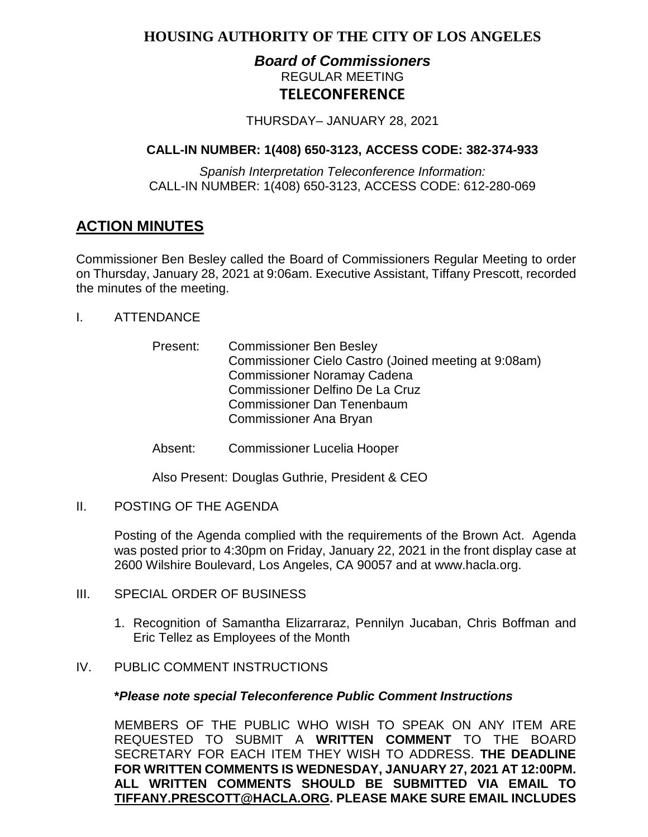# **HOUSING AUTHORITY OF THE CITY OF LOS ANGELES**

# *Board of Commissioners* REGULAR MEETING **TELECONFERENCE**

THURSDAY– JANUARY 28, 2021

# **CALL-IN NUMBER: 1(408) 650-3123, ACCESS CODE: 382-374-933**

*Spanish Interpretation Teleconference Information:* CALL-IN NUMBER: 1(408) 650-3123, ACCESS CODE: 612-280-069

# **ACTION MINUTES**

Commissioner Ben Besley called the Board of Commissioners Regular Meeting to order on Thursday, January 28, 2021 at 9:06am. Executive Assistant, Tiffany Prescott, recorded the minutes of the meeting.

- I. ATTENDANCE
	- Present: Commissioner Ben Besley Commissioner Cielo Castro (Joined meeting at 9:08am) Commissioner Noramay Cadena Commissioner Delfino De La Cruz Commissioner Dan Tenenbaum Commissioner Ana Bryan
	- Absent: Commissioner Lucelia Hooper

Also Present: Douglas Guthrie, President & CEO

II. POSTING OF THE AGENDA

Posting of the Agenda complied with the requirements of the Brown Act. Agenda was posted prior to 4:30pm on Friday, January 22, 2021 in the front display case at 2600 Wilshire Boulevard, Los Angeles, CA 90057 and at [www.hacla.org.](http://www.hacla.org/)

- III. SPECIAL ORDER OF BUSINESS
	- 1. Recognition of Samantha Elizarraraz, Pennilyn Jucaban, Chris Boffman and Eric Tellez as Employees of the Month

# IV. PUBLIC COMMENT INSTRUCTIONS

#### **\****Please note special Teleconference Public Comment Instructions*

MEMBERS OF THE PUBLIC WHO WISH TO SPEAK ON ANY ITEM ARE REQUESTED TO SUBMIT A **WRITTEN COMMENT** TO THE BOARD SECRETARY FOR EACH ITEM THEY WISH TO ADDRESS. **THE DEADLINE FOR WRITTEN COMMENTS IS WEDNESDAY, JANUARY 27, 2021 AT 12:00PM. ALL WRITTEN COMMENTS SHOULD BE SUBMITTED VIA EMAIL TO [TIFFANY.PRESCOTT@HACLA.ORG.](mailto:TIFFANY.PRESCOTT@HACLA.ORG) PLEASE MAKE SURE EMAIL INCLUDES**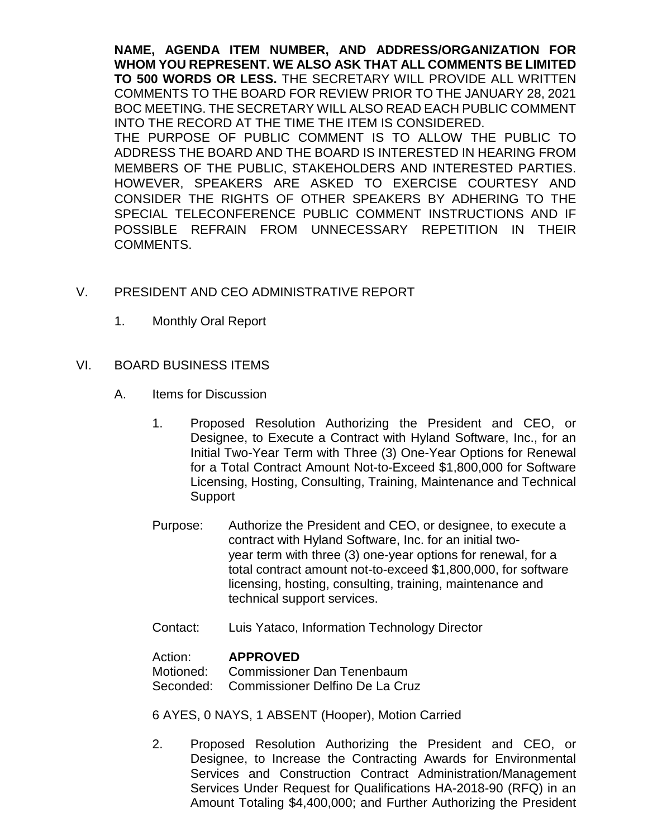**NAME, AGENDA ITEM NUMBER, AND ADDRESS/ORGANIZATION FOR WHOM YOU REPRESENT. WE ALSO ASK THAT ALL COMMENTS BE LIMITED TO 500 WORDS OR LESS.** THE SECRETARY WILL PROVIDE ALL WRITTEN COMMENTS TO THE BOARD FOR REVIEW PRIOR TO THE JANUARY 28, 2021 BOC MEETING. THE SECRETARY WILL ALSO READ EACH PUBLIC COMMENT INTO THE RECORD AT THE TIME THE ITEM IS CONSIDERED. THE PURPOSE OF PUBLIC COMMENT IS TO ALLOW THE PUBLIC TO ADDRESS THE BOARD AND THE BOARD IS INTERESTED IN HEARING FROM MEMBERS OF THE PUBLIC, STAKEHOLDERS AND INTERESTED PARTIES. HOWEVER, SPEAKERS ARE ASKED TO EXERCISE COURTESY AND CONSIDER THE RIGHTS OF OTHER SPEAKERS BY ADHERING TO THE SPECIAL TELECONFERENCE PUBLIC COMMENT INSTRUCTIONS AND IF POSSIBLE REFRAIN FROM UNNECESSARY REPETITION IN THEIR COMMENTS.

# V. PRESIDENT AND CEO ADMINISTRATIVE REPORT

1. Monthly Oral Report

#### VI. BOARD BUSINESS ITEMS

- A. Items for Discussion
	- 1. Proposed Resolution Authorizing the President and CEO, or Designee, to Execute a Contract with Hyland Software, Inc., for an Initial Two-Year Term with Three (3) One-Year Options for Renewal for a Total Contract Amount Not-to-Exceed \$1,800,000 for Software Licensing, Hosting, Consulting, Training, Maintenance and Technical Support
	- Purpose: Authorize the President and CEO, or designee, to execute a contract with Hyland Software, Inc. for an initial twoyear term with three (3) one-year options for renewal, for a total contract amount not-to-exceed \$1,800,000, for software licensing, hosting, consulting, training, maintenance and technical support services.
	- Contact: Luis Yataco, Information Technology Director

#### Action: **APPROVED**

Motioned: Commissioner Dan Tenenbaum Seconded: Commissioner Delfino De La Cruz

6 AYES, 0 NAYS, 1 ABSENT (Hooper), Motion Carried

2. Proposed Resolution Authorizing the President and CEO, or Designee, to Increase the Contracting Awards for Environmental Services and Construction Contract Administration/Management Services Under Request for Qualifications HA-2018-90 (RFQ) in an Amount Totaling \$4,400,000; and Further Authorizing the President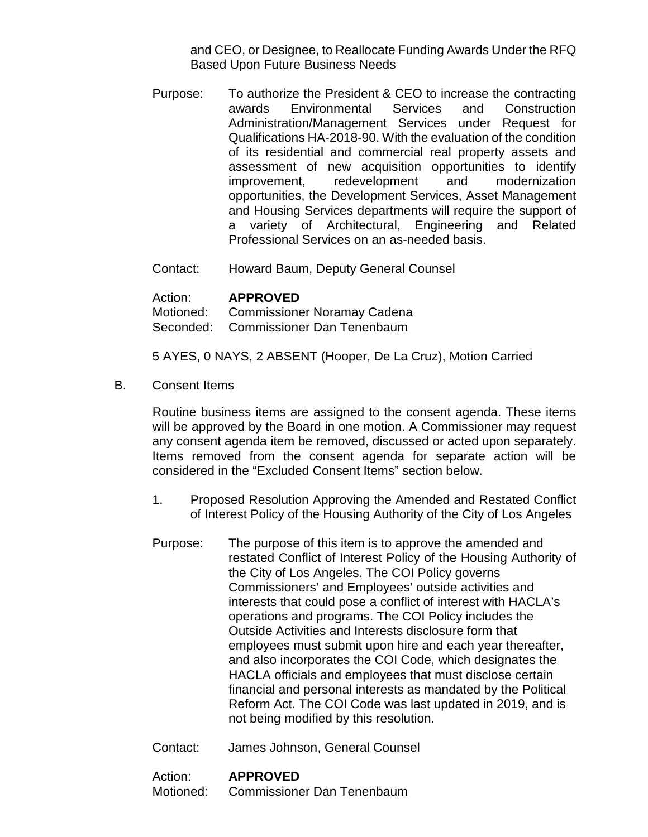and CEO, or Designee, to Reallocate Funding Awards Under the RFQ Based Upon Future Business Needs

- Purpose: To authorize the President & CEO to increase the contracting awards Environmental Services and Construction Administration/Management Services under Request for Qualifications HA-2018-90. With the evaluation of the condition of its residential and commercial real property assets and assessment of new acquisition opportunities to identify improvement, redevelopment and modernization opportunities, the Development Services, Asset Management and Housing Services departments will require the support of a variety of Architectural, Engineering and Related Professional Services on an as-needed basis.
- Contact: Howard Baum, Deputy General Counsel

| Action: | <b>APPROVED</b>                       |
|---------|---------------------------------------|
|         | Motioned: Commissioner Noramay Cadena |
|         | Seconded: Commissioner Dan Tenenbaum  |

5 AYES, 0 NAYS, 2 ABSENT (Hooper, De La Cruz), Motion Carried

B. Consent Items

Routine business items are assigned to the consent agenda. These items will be approved by the Board in one motion. A Commissioner may request any consent agenda item be removed, discussed or acted upon separately. Items removed from the consent agenda for separate action will be considered in the "Excluded Consent Items" section below.

- 1. Proposed Resolution Approving the Amended and Restated Conflict of Interest Policy of the Housing Authority of the City of Los Angeles
- Purpose: The purpose of this item is to approve the amended and restated Conflict of Interest Policy of the Housing Authority of the City of Los Angeles. The COI Policy governs Commissioners' and Employees' outside activities and interests that could pose a conflict of interest with HACLA's operations and programs. The COI Policy includes the Outside Activities and Interests disclosure form that employees must submit upon hire and each year thereafter, and also incorporates the COI Code, which designates the HACLA officials and employees that must disclose certain financial and personal interests as mandated by the Political Reform Act. The COI Code was last updated in 2019, and is not being modified by this resolution.
- Contact: James Johnson, General Counsel

#### Action: **APPROVED**

Motioned: Commissioner Dan Tenenbaum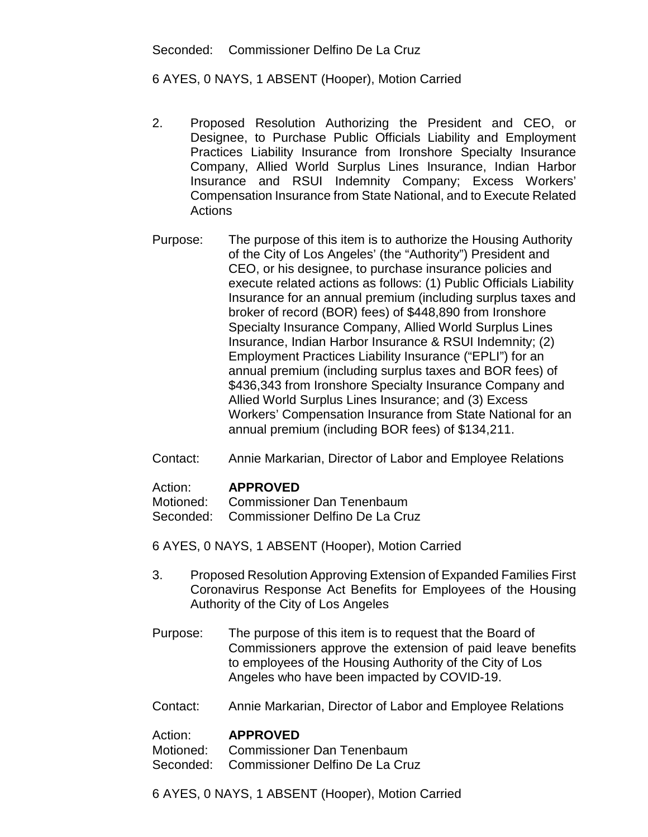Seconded: Commissioner Delfino De La Cruz

6 AYES, 0 NAYS, 1 ABSENT (Hooper), Motion Carried

- 2. Proposed Resolution Authorizing the President and CEO, or Designee, to Purchase Public Officials Liability and Employment Practices Liability Insurance from Ironshore Specialty Insurance Company, Allied World Surplus Lines Insurance, Indian Harbor Insurance and RSUI Indemnity Company; Excess Workers' Compensation Insurance from State National, and to Execute Related **Actions**
- Purpose: The purpose of this item is to authorize the Housing Authority of the City of Los Angeles' (the "Authority") President and CEO, or his designee, to purchase insurance policies and execute related actions as follows: (1) Public Officials Liability Insurance for an annual premium (including surplus taxes and broker of record (BOR) fees) of \$448,890 from Ironshore Specialty Insurance Company, Allied World Surplus Lines Insurance, Indian Harbor Insurance & RSUI Indemnity; (2) Employment Practices Liability Insurance ("EPLI") for an annual premium (including surplus taxes and BOR fees) of \$436,343 from Ironshore Specialty Insurance Company and Allied World Surplus Lines Insurance; and (3) Excess Workers' Compensation Insurance from State National for an annual premium (including BOR fees) of \$134,211.
- Contact: Annie Markarian, Director of Labor and Employee Relations

# Action: **APPROVED**

Motioned: Commissioner Dan Tenenbaum

Seconded: Commissioner Delfino De La Cruz

- 6 AYES, 0 NAYS, 1 ABSENT (Hooper), Motion Carried
- 3. Proposed Resolution Approving Extension of Expanded Families First Coronavirus Response Act Benefits for Employees of the Housing Authority of the City of Los Angeles
- Purpose: The purpose of this item is to request that the Board of Commissioners approve the extension of paid leave benefits to employees of the Housing Authority of the City of Los Angeles who have been impacted by COVID-19.
- Contact: Annie Markarian, Director of Labor and Employee Relations

#### Action: **APPROVED**

Motioned: Commissioner Dan Tenenbaum

- Seconded: Commissioner Delfino De La Cruz
- 6 AYES, 0 NAYS, 1 ABSENT (Hooper), Motion Carried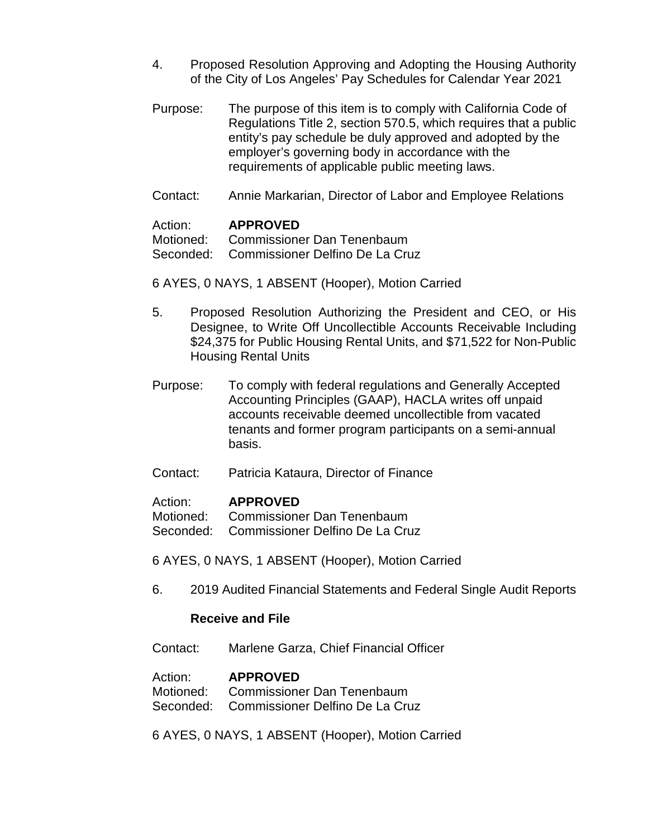- 4. Proposed Resolution Approving and Adopting the Housing Authority of the City of Los Angeles' Pay Schedules for Calendar Year 2021
- Purpose: The purpose of this item is to comply with California Code of Regulations Title 2, section 570.5, which requires that a public entity's pay schedule be duly approved and adopted by the employer's governing body in accordance with the requirements of applicable public meeting laws.
- Contact: Annie Markarian, Director of Labor and Employee Relations

#### Action: **APPROVED**

Motioned: Commissioner Dan Tenenbaum Seconded: Commissioner Delfino De La Cruz

6 AYES, 0 NAYS, 1 ABSENT (Hooper), Motion Carried

- 5. Proposed Resolution Authorizing the President and CEO, or His Designee, to Write Off Uncollectible Accounts Receivable Including \$24,375 for Public Housing Rental Units, and \$71,522 for Non-Public Housing Rental Units
- Purpose: To comply with federal regulations and Generally Accepted Accounting Principles (GAAP), HACLA writes off unpaid accounts receivable deemed uncollectible from vacated tenants and former program participants on a semi-annual basis.
- Contact: Patricia Kataura, Director of Finance

#### Action: **APPROVED**

Motioned: Commissioner Dan Tenenbaum Seconded: Commissioner Delfino De La Cruz

6 AYES, 0 NAYS, 1 ABSENT (Hooper), Motion Carried

6. 2019 Audited Financial Statements and Federal Single Audit Reports

#### **Receive and File**

Contact: Marlene Garza, Chief Financial Officer

# Action: **APPROVED**<br>Motioned: Commissione

Commissioner Dan Tenenbaum

Seconded: Commissioner Delfino De La Cruz

6 AYES, 0 NAYS, 1 ABSENT (Hooper), Motion Carried